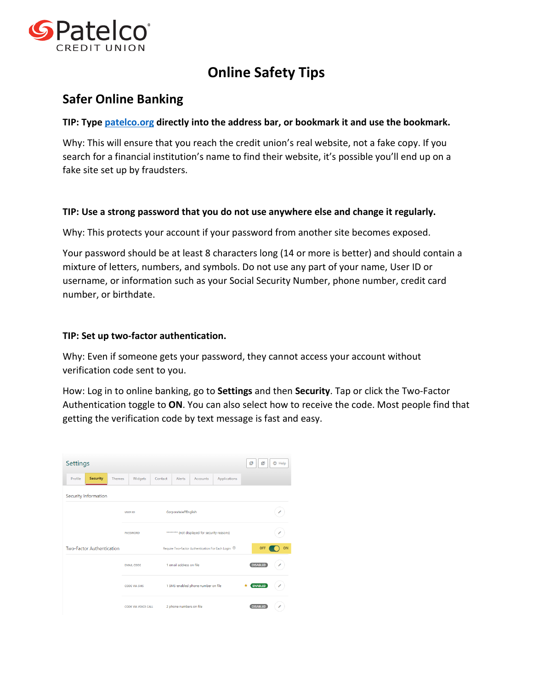

# **Online Safety Tips**

## **Safer Online Banking**

### **TIP: Type [patelco.org](http://www.patelco.org/) directly into the address bar, or bookmark it and use the bookmark.**

Why: This will ensure that you reach the credit union's real website, not a fake copy. If you search for a financial institution's name to find their website, it's possible you'll end up on a fake site set up by fraudsters.

### **TIP: Use a strong password that you do not use anywhere else and change it regularly.**

Why: This protects your account if your password from another site becomes exposed.

Your password should be at least 8 characters long (14 or more is better) and should contain a mixture of letters, numbers, and symbols. Do not use any part of your name, User ID or username, or information such as your Social Security Number, phone number, credit card number, or birthdate.

### **TIP: Set up two-factor authentication.**

Why: Even if someone gets your password, they cannot access your account without verification code sent to you.

How: Log in to online banking, go to **Settings** and then **Security**. Tap or click the Two-Factor Authentication toggle to **ON**. You can also select how to receive the code. Most people find that getting the verification code by text message is fast and easy.

| Settings                                    |                                                               |                                               |                         |                                    |                     | 凹<br><b>2</b> Help<br>画 |
|---------------------------------------------|---------------------------------------------------------------|-----------------------------------------------|-------------------------|------------------------------------|---------------------|-------------------------|
| <b>Security</b><br>Profile<br><b>Themes</b> | Widgets                                                       | Contact                                       | Alerts                  | Accounts                           | Applications        |                         |
| Security Information                        |                                                               |                                               |                         |                                    |                     |                         |
|                                             | CorporateJeffEnglish<br><b>USER ID</b>                        |                                               |                         |                                    |                     |                         |
|                                             | <b>PASSWORD</b>                                               | ******** (not displayed for security reasons) |                         |                                    |                     |                         |
| Two-Factor Authentication                   | Require Two-Factor Authentication For Each Login <sup>®</sup> |                                               |                         |                                    | ON<br>OFF           |                         |
|                                             | 1 email address on file<br><b>EMAIL CODE</b>                  |                                               |                         | <b>DISABLED</b>                    |                     |                         |
|                                             | <b>CODE VIA SMS</b>                                           |                                               |                         | 1 SMS-enabled phone number on file | <b>ENABLED</b><br>í |                         |
|                                             | <b>CODE VIA VOICE CALL</b>                                    |                                               | 2 phone numbers on file |                                    |                     | <b>DISARI ED</b><br>í   |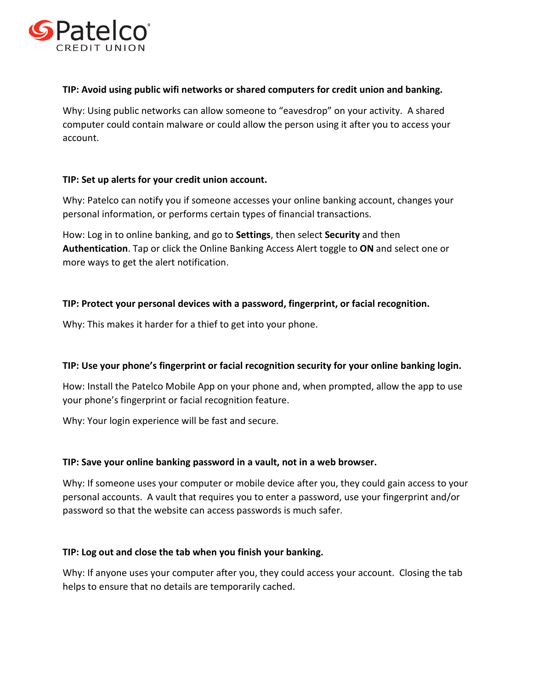

### **TIP: Avoid using public wifi networks or shared computers for credit union and banking.**

Why: Using public networks can allow someone to "eavesdrop" on your activity. A shared computer could contain malware or could allow the person using it after you to access your account.

### **TIP: Set up alerts for your credit union account.**

Why: Patelco can notify you if someone accesses your online banking account, changes your personal information, or performs certain types of financial transactions.

How: Log in to online banking, and go to **Settings**, then select **Security** and then **Authentication**. Tap or click the Online Banking Access Alert toggle to **ON** and select one or more ways to get the alert notification.

### **TIP: Protect your personal devices with a password, fingerprint, or facial recognition.**

Why: This makes it harder for a thief to get into your phone.

### **TIP: Use your phone's fingerprint or facial recognition security for your online banking login.**

How: Install the Patelco Mobile App on your phone and, when prompted, allow the app to use your phone's fingerprint or facial recognition feature.

Why: Your login experience will be fast and secure.

### **TIP: Save your online banking password in a vault, not in a web browser.**

Why: If someone uses your computer or mobile device after you, they could gain access to your personal accounts. A vault that requires you to enter a password, use your fingerprint and/or password so that the website can access passwords is much safer.

#### **TIP: Log out and close the tab when you finish your banking.**

Why: If anyone uses your computer after you, they could access your account. Closing the tab helps to ensure that no details are temporarily cached.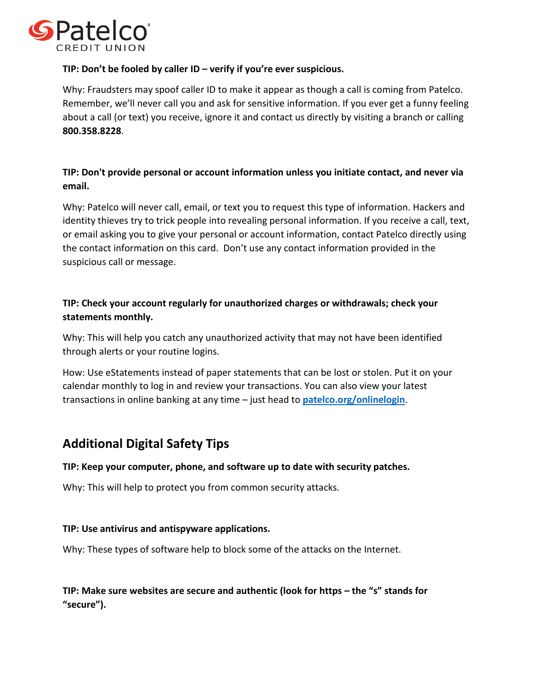

### **TIP: Don't be fooled by caller ID – verify if you're ever suspicious.**

Why: Fraudsters may spoof caller ID to make it appear as though a call is coming from Patelco. Remember, we'll never call you and ask for sensitive information. If you ever get a funny feeling about a call (or text) you receive, ignore it and contact us directly by visiting a branch or calling **800.358.8228**.

## **TIP: Don't provide personal or account information unless you initiate contact, and never via email.**

Why: Patelco will never call, email, or text you to request this type of information. Hackers and identity thieves try to trick people into revealing personal information. If you receive a call, text, or email asking you to give your personal or account information, contact Patelco directly using the contact information on this card. Don't use any contact information provided in the suspicious call or message.

## **TIP: Check your account regularly for unauthorized charges or withdrawals; check your statements monthly.**

Why: This will help you catch any unauthorized activity that may not have been identified through alerts or your routine logins.

How: Use eStatements instead of paper statements that can be lost or stolen. Put it on your calendar monthly to log in and review your transactions. You can also view your latest transactions in online banking at any time – just head to **[patelco.org/onlinelogin](http://www.patelco.org/onlinelogin)**.

## **Additional Digital Safety Tips**

### **TIP: Keep your computer, phone, and software up to date with security patches.**

Why: This will help to protect you from common security attacks.

### **TIP: Use antivirus and antispyware applications.**

Why: These types of software help to block some of the attacks on the Internet.

**TIP: Make sure websites are secure and authentic (look for https – the "s" stands for "secure").**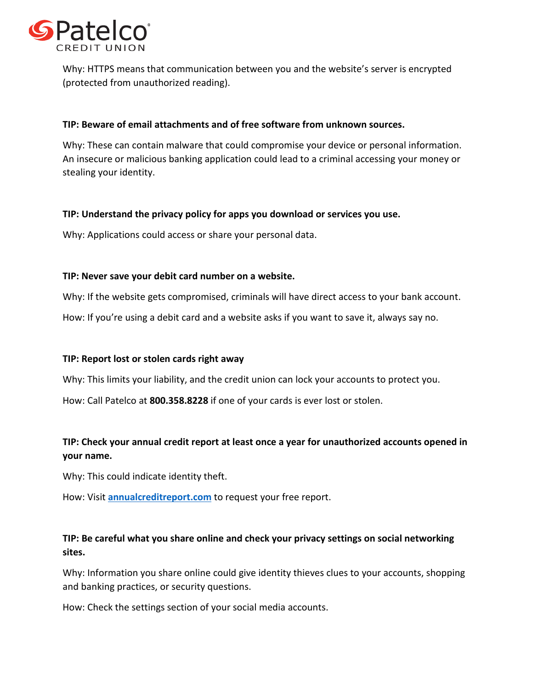

Why: HTTPS means that communication between you and the website's server is encrypted (protected from unauthorized reading).

### **TIP: Beware of email attachments and of free software from unknown sources.**

Why: These can contain malware that could compromise your device or personal information. An insecure or malicious banking application could lead to a criminal accessing your money or stealing your identity.

### **TIP: Understand the privacy policy for apps you download or services you use.**

Why: Applications could access or share your personal data.

### **TIP: Never save your debit card number on a website.**

Why: If the website gets compromised, criminals will have direct access to your bank account.

How: If you're using a debit card and a website asks if you want to save it, always say no.

### **TIP: Report lost or stolen cards right away**

Why: This limits your liability, and the credit union can lock your accounts to protect you.

How: Call Patelco at **800.358.8228** if one of your cards is ever lost or stolen.

## **TIP: Check your annual credit report at least once a year for unauthorized accounts opened in your name.**

Why: This could indicate identity theft.

How: Visit **[annualcreditreport.com](http://www.annualcreditreport.com/)** to request your free report.

## **TIP: Be careful what you share online and check your privacy settings on social networking sites.**

Why: Information you share online could give identity thieves clues to your accounts, shopping and banking practices, or security questions.

How: Check the settings section of your social media accounts.